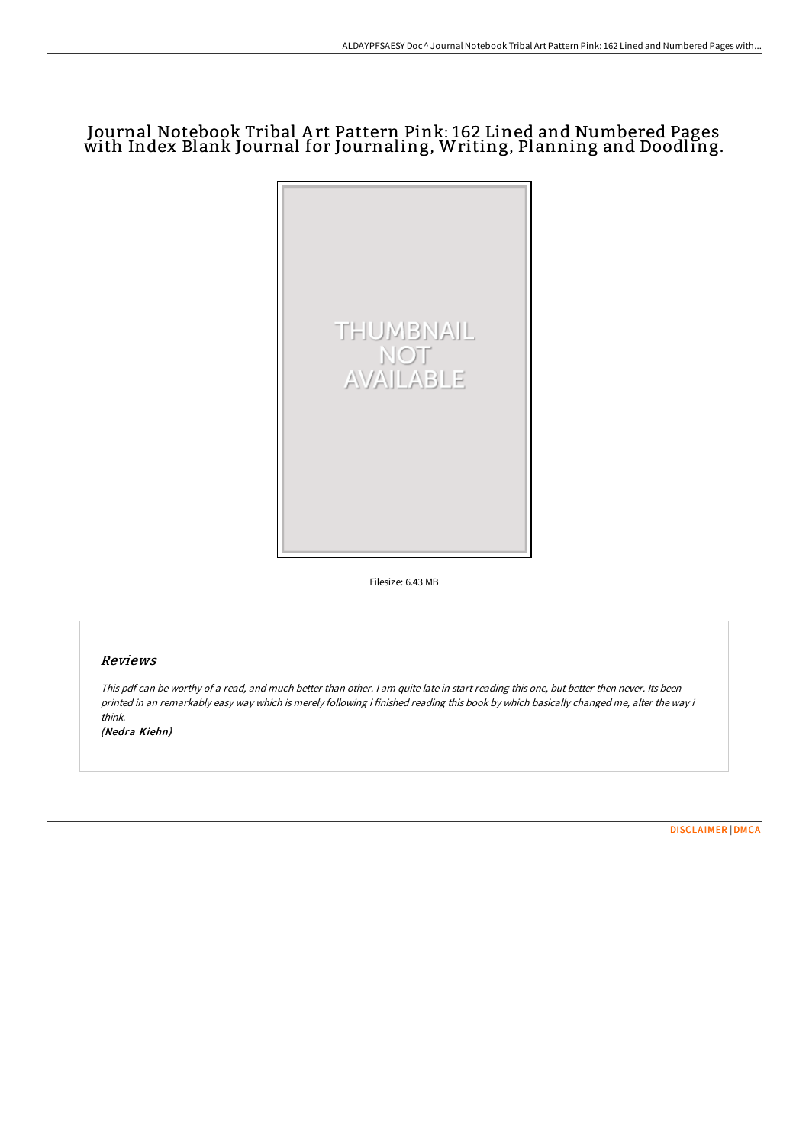## Journal Notebook Tribal A rt Pattern Pink: 162 Lined and Numbered Pages with Index Blank Journal for Journaling, Writing, Planning and Doodling.



Filesize: 6.43 MB

## Reviews

This pdf can be worthy of <sup>a</sup> read, and much better than other. <sup>I</sup> am quite late in start reading this one, but better then never. Its been printed in an remarkably easy way which is merely following i finished reading this book by which basically changed me, alter the way i think.

(Nedra Kiehn)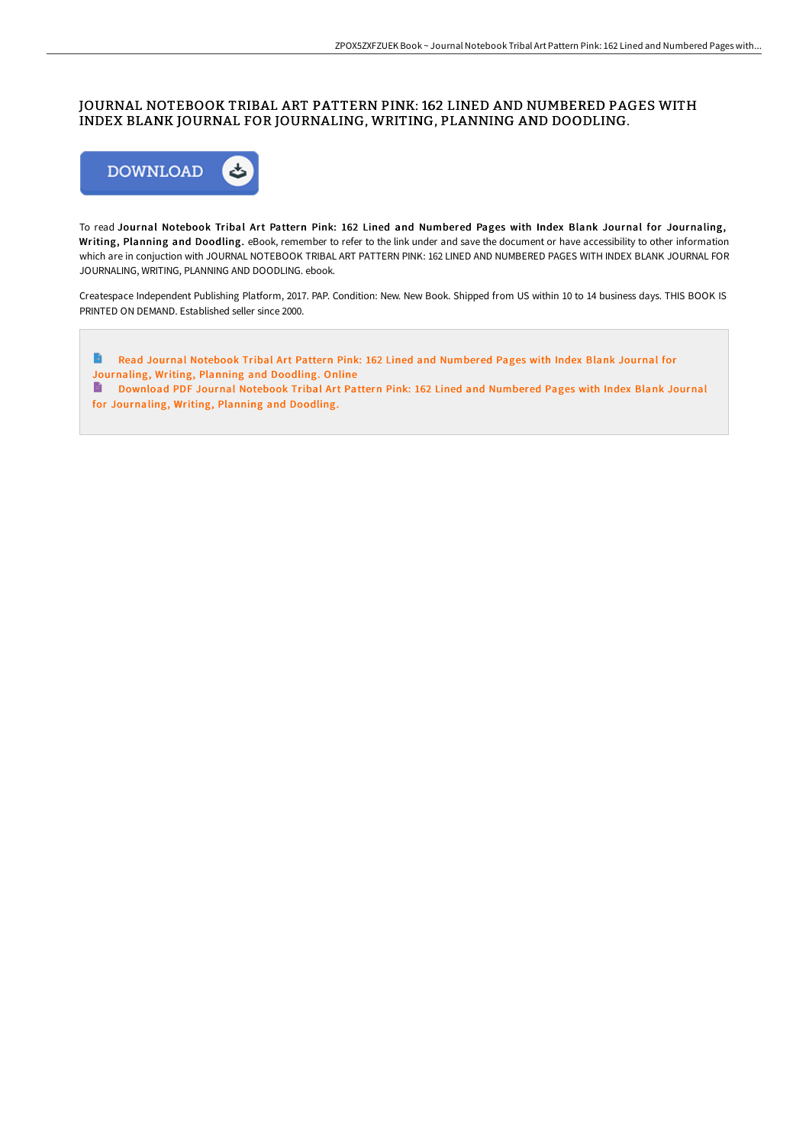## JOURNAL NOTEBOOK TRIBAL ART PATTERN PINK: 162 LINED AND NUMBERED PAGES WITH INDEX BLANK JOURNAL FOR JOURNALING, WRITING, PLANNING AND DOODLING.



To read Journal Notebook Tribal Art Pattern Pink: 162 Lined and Numbered Pages with Index Blank Journal for Journaling, Writing, Planning and Doodling. eBook, remember to refer to the link under and save the document or have accessibility to other information which are in conjuction with JOURNAL NOTEBOOK TRIBAL ART PATTERN PINK: 162 LINED AND NUMBERED PAGES WITH INDEX BLANK JOURNAL FOR JOURNALING, WRITING, PLANNING AND DOODLING. ebook.

Createspace Independent Publishing Platform, 2017. PAP. Condition: New. New Book. Shipped from US within 10 to 14 business days. THIS BOOK IS PRINTED ON DEMAND. Established seller since 2000.